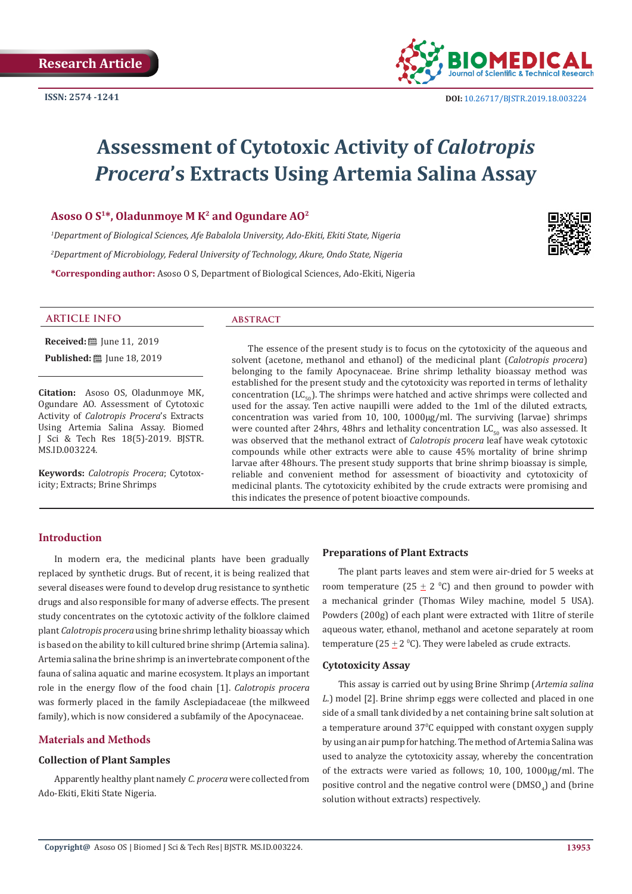

# **Assessment of Cytotoxic Activity of** *Calotropis Procera***'s Extracts Using Artemia Salina Assay**

# **Asoso O S1\*, Oladunmoye M K2 and Ogundare AO2**

*1 Department of Biological Sciences, Afe Babalola University, Ado-Ekiti, Ekiti State, Nigeria 2 Department of Microbiology, Federal University of Technology, Akure, Ondo State, Nigeria* **\*Corresponding author:** Asoso O S, Department of Biological Sciences, Ado-Ekiti, Nigeria



#### **ARTICLE INFO abstract**

**Received:** ■ June 11, 2019

**Published:** ■ June 18, 2019

**Citation:** Asoso OS, Oladunmoye MK, Ogundare AO. Assessment of Cytotoxic Activity of *Calotropis Procera*'s Extracts Using Artemia Salina Assay. Biomed J Sci & Tech Res 18(5)-2019. BJSTR. MS.ID.003224.

**Keywords:** *Calotropis Procera*; Cytotoxicity; Extracts; Brine Shrimps

The essence of the present study is to focus on the cytotoxicity of the aqueous and solvent (acetone, methanol and ethanol) of the medicinal plant (*Calotropis procera*) belonging to the family Apocynaceae. Brine shrimp lethality bioassay method was established for the present study and the cytotoxicity was reported in terms of lethality concentration  $(LC_{50})$ . The shrimps were hatched and active shrimps were collected and used for the assay. Ten active naupilli were added to the 1ml of the diluted extracts, concentration was varied from 10, 100, 1000µg/ml. The surviving (larvae) shrimps were counted after 24hrs, 48hrs and lethality concentration  $LC_{50}$  was also assessed. It was observed that the methanol extract of *Calotropis procera* leaf have weak cytotoxic compounds while other extracts were able to cause 45% mortality of brine shrimp larvae after 48hours. The present study supports that brine shrimp bioassay is simple, reliable and convenient method for assessment of bioactivity and cytotoxicity of medicinal plants. The cytotoxicity exhibited by the crude extracts were promising and this indicates the presence of potent bioactive compounds.

## **Introduction**

In modern era, the medicinal plants have been gradually replaced by synthetic drugs. But of recent, it is being realized that several diseases were found to develop drug resistance to synthetic drugs and also responsible for many of adverse effects. The present study concentrates on the cytotoxic activity of the folklore claimed plant *Calotropis procera* using brine shrimp lethality bioassay which is based on the ability to kill cultured brine shrimp (Artemia salina). Artemia salina the brine shrimp is an invertebrate component of the fauna of salina aquatic and marine ecosystem. It plays an important role in the energy flow of the food chain [1]. *Calotropis procera* was formerly placed in the family Asclepiadaceae (the milkweed family), which is now considered a subfamily of the Apocynaceae.

## **Materials and Methods**

# **Collection of Plant Samples**

Apparently healthy plant namely *C. procera* were collected from Ado-Ekiti, Ekiti State Nigeria.

#### **Preparations of Plant Extracts**

The plant parts leaves and stem were air-dried for 5 weeks at room temperature ( $25 \pm 2$  °C) and then ground to powder with a mechanical grinder (Thomas Wiley machine, model 5 USA). Powders (200g) of each plant were extracted with 1litre of sterile aqueous water, ethanol, methanol and acetone separately at room temperature (25  $\pm$  2 °C). They were labeled as crude extracts.

#### **Cytotoxicity Assay**

This assay is carried out by using Brine Shrimp (*Artemia salina L.*) model [2]. Brine shrimp eggs were collected and placed in one side of a small tank divided by a net containing brine salt solution at a temperature around 370 C equipped with constant oxygen supply by using an air pump for hatching. The method of Artemia Salina was used to analyze the cytotoxicity assay, whereby the concentration of the extracts were varied as follows; 10, 100, 1000µg/ml. The positive control and the negative control were  $(DMSO_4)$  and (brine solution without extracts) respectively.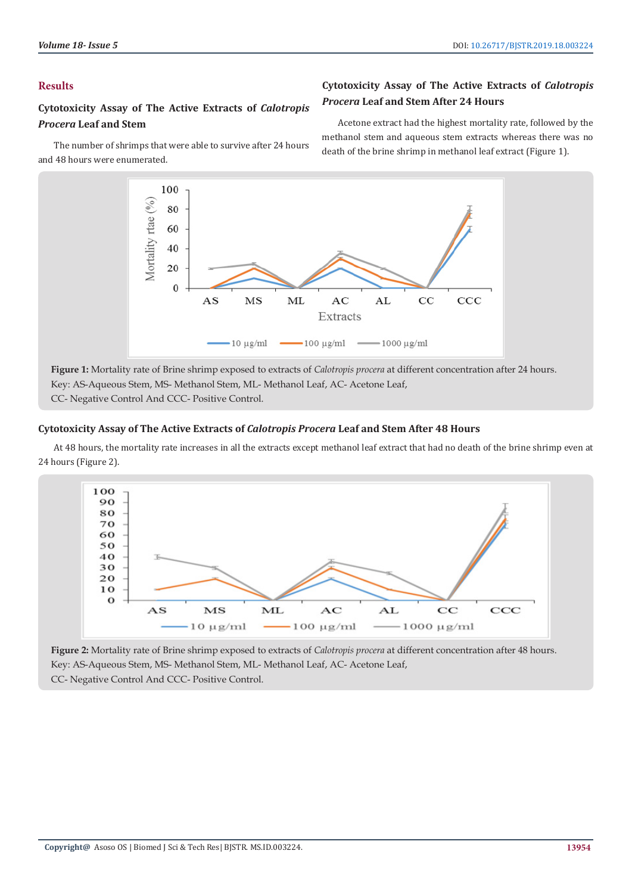# **Results**

# **Cytotoxicity Assay of The Active Extracts of** *Calotropis Procera* **Leaf and Stem**

The number of shrimps that were able to survive after 24 hours and 48 hours were enumerated.

# **Cytotoxicity Assay of The Active Extracts of** *Calotropis Procera* **Leaf and Stem After 24 Hours**

Acetone extract had the highest mortality rate, followed by the methanol stem and aqueous stem extracts whereas there was no death of the brine shrimp in methanol leaf extract (Figure 1).



**Figure 1:** Mortality rate of Brine shrimp exposed to extracts of *Calotropis procera* at different concentration after 24 hours. Key: AS-Aqueous Stem, MS- Methanol Stem, ML- Methanol Leaf, AC- Acetone Leaf, CC- Negative Control And CCC- Positive Control.

# **Cytotoxicity Assay of The Active Extracts of** *Calotropis Procera* **Leaf and Stem After 48 Hours**

At 48 hours, the mortality rate increases in all the extracts except methanol leaf extract that had no death of the brine shrimp even at 24 hours (Figure 2).



**Figure 2:** Mortality rate of Brine shrimp exposed to extracts of *Calotropis procera* at different concentration after 48 hours. Key: AS-Aqueous Stem, MS- Methanol Stem, ML- Methanol Leaf, AC- Acetone Leaf, CC- Negative Control And CCC- Positive Control.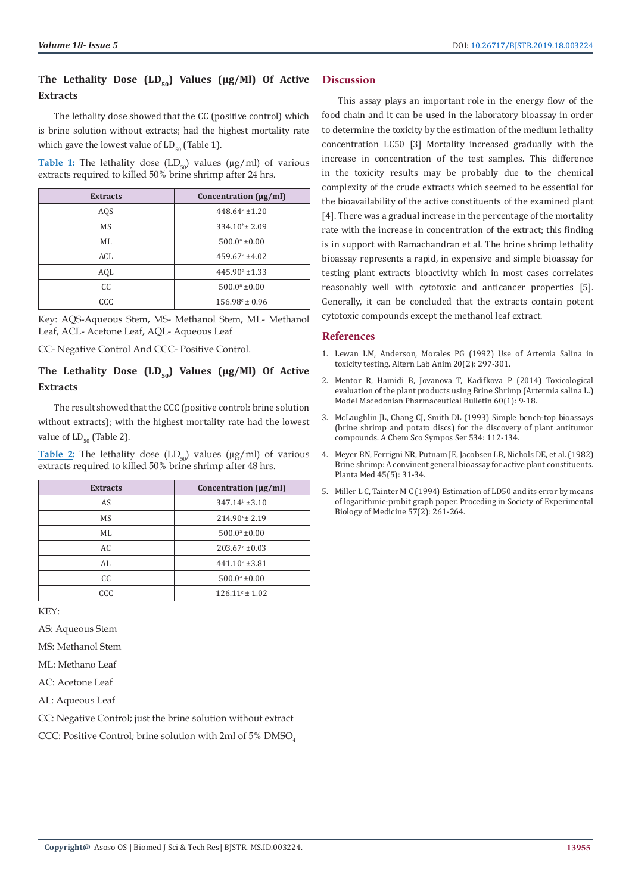# The Lethality Dose (LD<sub>50</sub>) Values (µg/Ml) Of Active **Extracts**

The lethality dose showed that the CC (positive control) which is brine solution without extracts; had the highest mortality rate which gave the lowest value of  $LD_{50}$  (Table 1).

**Table 1:** The lethality dose  $(LD_{50})$  values  $(\mu g/ml)$  of various extracts required to killed 50% brine shrimp after 24 hrs.

| <b>Extracts</b> | Concentration $(\mu g/ml)$ |
|-----------------|----------------------------|
| AQS             | $448.64^a \pm 1.20$        |
| MS              | $334.10b \pm 2.09$         |
| ML.             | $500.0^{\circ}$ ±0.00      |
| ACL             | $459.67^{\circ}$ ±4.02     |
| AQL             | $445.90^{\circ}$ ±1.33     |
| CC.             | $500.0^{\circ}$ ±0.00      |
| CCC             | $156.98c \pm 0.96$         |

Key: AQS-Aqueous Stem, MS- Methanol Stem, ML- Methanol Leaf, ACL- Acetone Leaf, AQL- Aqueous Leaf

CC- Negative Control And CCC- Positive Control.

# The Lethality Dose (LD<sub>50</sub>) Values (µg/Ml) Of Active **Extracts**

The result showed that the CCC (positive control: brine solution without extracts); with the highest mortality rate had the lowest value of  $LD_{50}$  (Table 2).

**Table 2:** The lethality dose  $(LD_{50})$  values  $(\mu g/ml)$  of various extracts required to killed 50% brine shrimp after 48 hrs.

| <b>Extracts</b> | Concentration $(\mu g/ml)$ |
|-----------------|----------------------------|
| AS              | $347.14b \pm 3.10$         |
| MS              | $214.90^{\circ}$ ± 2.19    |
| ML              | $500.0^{\circ}$ ±0.00      |
| AC              | $203.67^{\circ}$ ±0.03     |
| AL.             | $441.10^a \pm 3.81$        |
| CC              | $500.0^{\circ}$ ±0.00      |
| CCC             | $126.11^{\circ} \pm 1.02$  |

KEY:

AS: Aqueous Stem

MS: Methanol Stem

ML: Methano Leaf

AC: Acetone Leaf

AL: Aqueous Leaf

CC: Negative Control; just the brine solution without extract

CCC: Positive Control; brine solution with 2ml of 5% DMSO

# **Discussion**

This assay plays an important role in the energy flow of the food chain and it can be used in the laboratory bioassay in order to determine the toxicity by the estimation of the medium lethality concentration LC50 [3] Mortality increased gradually with the increase in concentration of the test samples. This difference in the toxicity results may be probably due to the chemical complexity of the crude extracts which seemed to be essential for the bioavailability of the active constituents of the examined plant [4]. There was a gradual increase in the percentage of the mortality rate with the increase in concentration of the extract; this finding is in support with Ramachandran et al. The brine shrimp lethality bioassay represents a rapid, in expensive and simple bioassay for testing plant extracts bioactivity which in most cases correlates reasonably well with cytotoxic and anticancer properties [5]. Generally, it can be concluded that the extracts contain potent cytotoxic compounds except the methanol leaf extract.

# **References**

- 1. [Lewan LM, Anderson, Morales PG \(1992\) Use of Artemia Salina in](http://agris.fao.org/agris-search/search.do?recordID=US201301480699) [toxicity testing. Altern Lab Anim 20\(2\): 297-301.](http://agris.fao.org/agris-search/search.do?recordID=US201301480699)
- 2. [Mentor R, Hamidi B, Jovanova T, Kadifkova P \(2014\) Toxicological](https://www.researchgate.net/publication/332541451_Toxicological_evaluation_of_the_plant_products_using_Brine_Shrimp_Artemia_salina_L_model) [evaluation of the plant products using Brine Shrimp \(Artermia salina L.\)](https://www.researchgate.net/publication/332541451_Toxicological_evaluation_of_the_plant_products_using_Brine_Shrimp_Artemia_salina_L_model) [Model Macedonian Pharmaceutical Bulletin 60\(1\): 9-18.](https://www.researchgate.net/publication/332541451_Toxicological_evaluation_of_the_plant_products_using_Brine_Shrimp_Artemia_salina_L_model)
- 3. [McLaughlin JL, Chang CJ, Smith DL \(1993\) Simple bench-top bioassays](https://pubs.acs.org/doi/abs/10.1021/bk-1993-0534.ch009) [\(brine shrimp and potato discs\) for the discovery of plant antitumor](https://pubs.acs.org/doi/abs/10.1021/bk-1993-0534.ch009) [compounds. A Chem Sco Sympos Ser 534: 112-134.](https://pubs.acs.org/doi/abs/10.1021/bk-1993-0534.ch009)
- 4. [Meyer BN, Ferrigni NR, Putnam JE, Jacobsen LB, Nichols DE, et al. \(1982\)](https://www.ncbi.nlm.nih.gov/pubmed/17396775) [Brine shrimp: A convinent general bioassay for active plant constituents.](https://www.ncbi.nlm.nih.gov/pubmed/17396775) [Planta Med 45\(5\): 31-34.](https://www.ncbi.nlm.nih.gov/pubmed/17396775)
- 5. [Miller L C, Tainter M C \(1994\) Estimation of LD50 and its error by means](https://journals.sagepub.com/doi/abs/10.3181/00379727-57-14776) [of logarithmic-probit graph paper. Proceding in Society of Experimental](https://journals.sagepub.com/doi/abs/10.3181/00379727-57-14776) [Biology of Medicine 57\(2\): 261-264.](https://journals.sagepub.com/doi/abs/10.3181/00379727-57-14776)